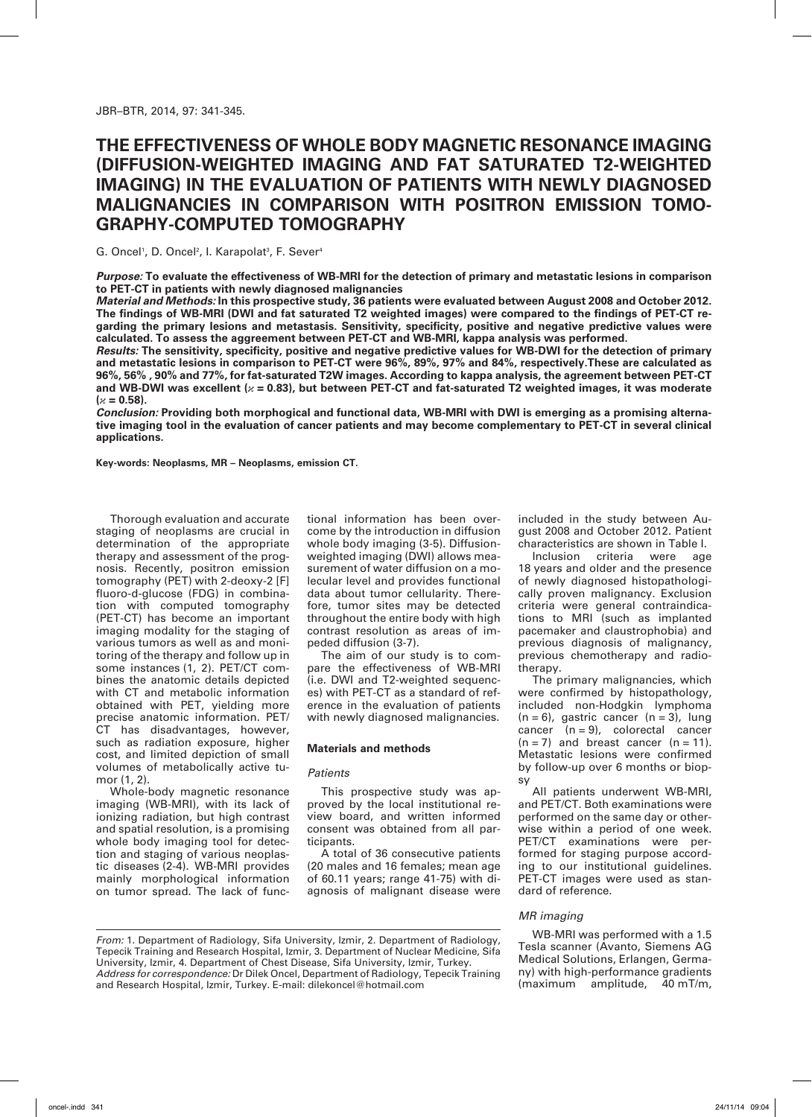# **The effectiveness of whole body magnetic resonance imaging (Diffusion-weighted imaging and fat saturated T2-weighted imaging) in the evaluation of patients with newly diagnosed malignancies in comparison with positron emission tomography-computed tomography**

G. Oncel<sup>1</sup>, D. Oncel<sup>2</sup>, I. Karapolat<sup>3</sup>, F. Sever<sup>4</sup>

*Purpose:* **To evaluate the effectiveness of WB-MRI for the detection of primary and metastatic lesions in comparison to PET-CT in patients with newly diagnosed malignancies**

*Material and Methods:* **In this prospective study, 36 patients were evaluated between August 2008 and October 2012. The findings of WB-MRI (DWI and fat saturated T2 weighted images) were compared to the findings of PET-CT regarding the primary lesions and metastasis. Sensitivity, specificity, positive and negative predictive values were calculated. To assess the aggreement between PET-CT and WB-MRI, kappa analysis was performed.**

*Results:* **The sensitivity, specificity, positive and negative predictive values for WB-DWI for the detection of primary and metastatic lesions in comparison to PET-CT were 96%, 89%, 97% and 84%, respectively.These are calculated as 96%, 56% , 90% and 77%, for fat-saturated T2W images. According to kappa analysis, the agreement between PET-CT and WB-DWI was excellent (***κ* **= 0.83), but between PET-CT and fat-saturated T2 weighted images, it was moderate**   $(x = 0.58)$ .

*Conclusion:* **Providing both morphogical and functional data, WB-MRI with DWI is emerging as a promising alternative imaging tool in the evaluation of cancer patients and may become complementary to PET-CT in several clinical applications.**

**Key-words: Neoplasms, MR – Neoplasms, emission CT.**

Thorough evaluation and accurate staging of neoplasms are crucial in determination of the appropriate therapy and assessment of the prognosis. Recently, positron emission tomography (PET) with 2-deoxy-2 [F] fluoro-d-glucose (FDG) in combination with computed tomography (PET-CT) has become an important imaging modality for the staging of various tumors as well as and monitoring of the therapy and follow up in some instances (1, 2). PET/CT combines the anatomic details depicted with CT and metabolic information obtained with PET, yielding more precise anatomic information. PET/ CT has disadvantages, however, such as radiation exposure, higher cost, and limited depiction of small volumes of metabolically active tumor (1, 2).

Whole-body magnetic resonance imaging (WB-MRI), with its lack of ionizing radiation, but high contrast and spatial resolution, is a promising whole body imaging tool for detection and staging of various neoplastic diseases (2-4). WB-MRI provides mainly morphological information on tumor spread. The lack of functional information has been overcome by the introduction in diffusion whole body imaging (3-5). Diffusionweighted imaging (DWI) allows measurement of water diffusion on a molecular level and provides functional data about tumor cellularity. Therefore, tumor sites may be detected throughout the entire body with high contrast resolution as areas of impeded diffusion (3-7).

The aim of our study is to compare the effectiveness of WB-MRI (i.e. DWI and T2-weighted sequences) with PET-CT as a standard of reference in the evaluation of patients with newly diagnosed malignancies.

## **Materials and methods**

## *Patients*

This prospective study was approved by the local institutional review board, and written informed consent was obtained from all participants.

A total of 36 consecutive patients (20 males and 16 females; mean age of 60.11 years; range 41-75) with diagnosis of malignant disease were included in the study between August 2008 and October 2012. Patient characteristics are shown in Table I.

Inclusion criteria were age 18 years and older and the presence of newly diagnosed histopathologically proven malignancy. Exclusion criteria were general contraindications to MRI (such as implanted pacemaker and claustrophobia) and previous diagnosis of malignancy, previous chemotherapy and radiotherapy.

The primary malignancies, which were confirmed by histopathology, included non-Hodgkin lymphoma  $(n = 6)$ , gastric cancer  $(n = 3)$ , lung cancer  $(n = 9)$ , colorectal cancer  $(n = 7)$  and breast cancer  $(n = 11)$ . Metastatic lesions were confirmed by follow-up over 6 months or biopsy

All patients underwent WB-MRI, and PET/CT. Both examinations were performed on the same day or otherwise within a period of one week. PET/CT examinations were performed for staging purpose according to our institutional guidelines. PET-CT images were used as standard of reference.

## *MR imaging*

WB-MRI was performed with a 1.5 Tesla scanner (Avanto, Siemens AG Medical Solutions, Erlangen, Germany) with high-performance gradients (maximum amplitude, 40 mT/m,

*From:* 1. Department of Radiology, Sifa University, Izmir, 2. Department of Radiology, Tepecik Training and Research Hospital, Izmir, 3. Department of Nuclear Medicine, Sifa University, Izmir, 4. Department of Chest Disease, Sifa University, Izmir, Turkey. *Address for correspondence:* Dr Dilek Oncel, Department of Radiology, Tepecik Training and Research Hospital, Izmir, Turkey. E-mail: dilekoncel@hotmail.com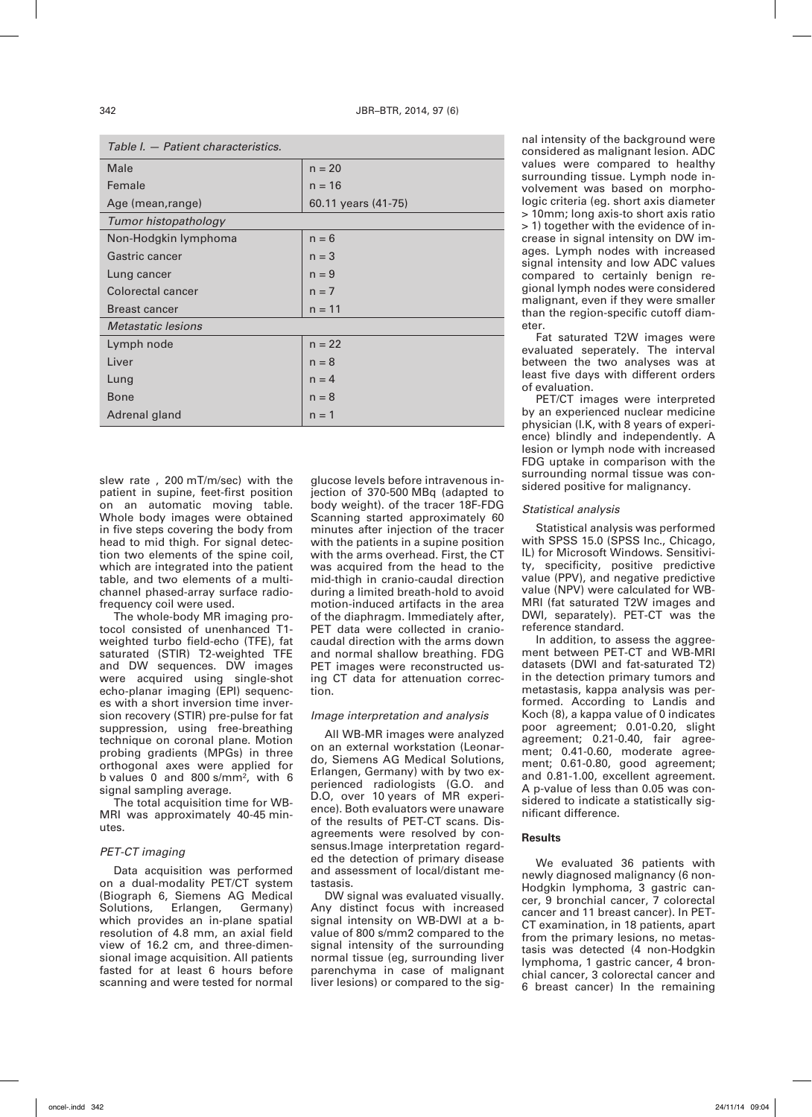| Table I. — Fatient characteristics. |                     |  |  |  |
|-------------------------------------|---------------------|--|--|--|
| Male                                | $n = 20$            |  |  |  |
| Female                              | $n = 16$            |  |  |  |
| Age (mean, range)                   | 60.11 years (41-75) |  |  |  |
| Tumor histopathology                |                     |  |  |  |
| Non-Hodgkin lymphoma                | $n = 6$             |  |  |  |
| Gastric cancer                      | $n = 3$             |  |  |  |
| Lung cancer                         | $n = 9$             |  |  |  |
| Colorectal cancer                   | $n = 7$             |  |  |  |
| Breast cancer                       | $n = 11$            |  |  |  |
| Metastatic lesions                  |                     |  |  |  |
| Lymph node                          | $n = 22$            |  |  |  |
| Liver                               | $n = 8$             |  |  |  |
| Lung                                | $n = 4$             |  |  |  |
| Bone                                | $n = 8$             |  |  |  |
| Adrenal gland                       | $n = 1$             |  |  |  |

*Table I. — Patient characteristics.*

slew rate , 200 mT/m/sec) with the patient in supine, feet-first position on an automatic moving table. Whole body images were obtained in five steps covering the body from head to mid thigh. For signal detection two elements of the spine coil, which are integrated into the patient table, and two elements of a multichannel phased-array surface radiofrequency coil were used.

The whole-body MR imaging protocol consisted of unenhanced T1 weighted turbo field-echo (TFE), fat saturated (STIR) T2-weighted TFE and DW sequences. DW images were acquired using single-shot echo-planar imaging (EPI) sequences with a short inversion time inversion recovery (STIR) pre-pulse for fat suppression, using free-breathing technique on coronal plane. Motion probing gradients (MPGs) in three orthogonal axes were applied for b values 0 and 800 s/mm², with 6 signal sampling average.

The total acquisition time for WB-MRI was approximately 40-45 minutes.

#### *PET-CT imaging*

Data acquisition was performed on a dual-modality PET/CT system (Biograph 6, Siemens AG Medical Solutions, Erlangen, Germany) which provides an in-plane spatial resolution of 4.8 mm, an axial field view of 16.2 cm, and three-dimensional image acquisition. All patients fasted for at least 6 hours before scanning and were tested for normal

glucose levels before intravenous injection of 370-500 MBq (adapted to body weight). of the tracer 18F-FDG Scanning started approximately 60 minutes after injection of the tracer with the patients in a supine position with the arms overhead. First, the CT was acquired from the head to the mid-thigh in cranio-caudal direction during a limited breath-hold to avoid motion-induced artifacts in the area of the diaphragm. Immediately after, PET data were collected in craniocaudal direction with the arms down and normal shallow breathing. FDG PET images were reconstructed using CT data for attenuation correction.

#### *Image interpretation and analysis*

All WB-MR images were analyzed on an external workstation (Leonardo, Siemens AG Medical Solutions, Erlangen, Germany) with by two experienced radiologists (G.O. and D.O, over 10 years of MR experience). Both evaluators were unaware of the results of PET-CT scans. Disagreements were resolved by consensus.Image interpretation regarded the detection of primary disease and assessment of local/distant metastasis.

DW signal was evaluated visually. Any distinct focus with increased signal intensity on WB-DWI at a bvalue of 800 s/mm2 compared to the signal intensity of the surrounding normal tissue (eg, surrounding liver parenchyma in case of malignant liver lesions) or compared to the signal intensity of the background were considered as malignant lesion. ADC values were compared to healthy surrounding tissue. Lymph node involvement was based on morphologic criteria (eg. short axis diameter > 10mm; long axis-to short axis ratio > 1) together with the evidence of increase in signal intensity on DW images. Lymph nodes with increased signal intensity and low ADC values compared to certainly benign regional lymph nodes were considered malignant, even if they were smaller than the region-specific cutoff diameter.

Fat saturated T2W images were evaluated seperately. The interval between the two analyses was at least five days with different orders of evaluation.

PET/CT images were interpreted by an experienced nuclear medicine physician (I.K, with 8 years of experience) blindly and independently. A lesion or lymph node with increased FDG uptake in comparison with the surrounding normal tissue was considered positive for malignancy.

### *Statistical analysis*

Statistical analysis was performed with SPSS 15.0 (SPSS Inc., Chicago, IL) for Microsoft Windows. Sensitivity, specificity, positive predictive value (PPV), and negative predictive value (NPV) were calculated for WB-MRI (fat saturated T2W images and DWI, separately). PET-CT was the reference standard.

In addition, to assess the aggreement between PET-CT and WB-MRI datasets (DWI and fat-saturated T2) in the detection primary tumors and metastasis, kappa analysis was performed. According to Landis and Koch (8), a kappa value of 0 indicates poor agreement; 0.01-0.20, slight agreement; 0.21-0.40, fair agreement; 0.41-0.60, moderate agreement; 0.61-0.80, good agreement; and 0.81-1.00, excellent agreement. A p-value of less than 0.05 was considered to indicate a statistically significant difference.

## **Results**

We evaluated 36 patients with newly diagnosed malignancy (6 non-Hodgkin lymphoma, 3 gastric cancer, 9 bronchial cancer, 7 colorectal cancer and 11 breast cancer). In PET-CT examination, in 18 patients, apart from the primary lesions, no metastasis was detected (4 non-Hodgkin lymphoma, 1 gastric cancer, 4 bronchial cancer, 3 colorectal cancer and 6 breast cancer) In the remaining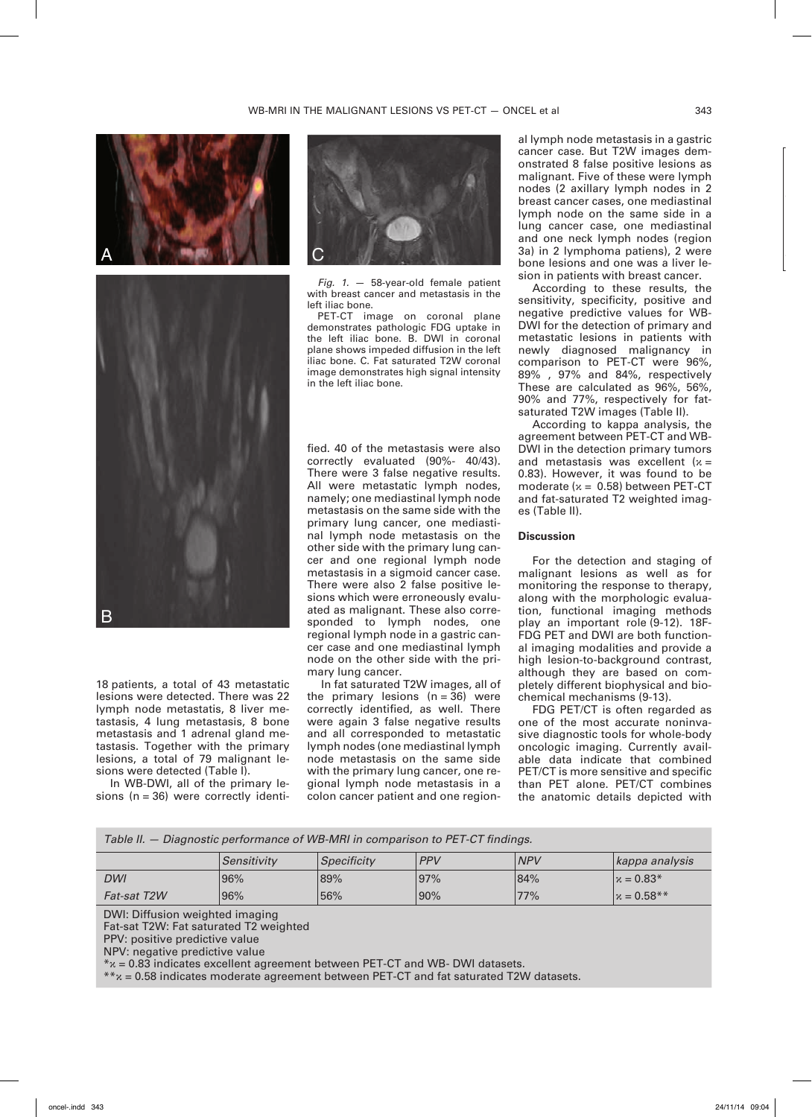



18 patients, a total of 43 metastatic lesions were detected. There was 22 lymph node metastatis, 8 liver metastasis, 4 lung metastasis, 8 bone metastasis and 1 adrenal gland metastasis. Together with the primary lesions, a total of 79 malignant lesions were detected (Table I).

In WB-DWI, all of the primary lesions ( $n = 36$ ) were correctly identi-



*Fig. 1.* — 58-year-old female patient with breast cancer and metastasis in the left iliac bone.

PET-CT image on coronal plane demonstrates pathologic FDG uptake in the left iliac bone. B. DWI in coronal plane shows impeded diffusion in the left iliac bone. C. Fat saturated T2W coronal image demonstrates high signal intensity in the left iliac bone.

fied. 40 of the metastasis were also correctly evaluated (90%- 40/43). There were 3 false negative results. All were metastatic lymph nodes, namely; one mediastinal lymph node metastasis on the same side with the primary lung cancer, one mediastinal lymph node metastasis on the other side with the primary lung cancer and one regional lymph node metastasis in a sigmoid cancer case. There were also 2 false positive lesions which were erroneously evaluated as malignant. These also corresponded to lymph nodes, one regional lymph node in a gastric cancer case and one mediastinal lymph node on the other side with the primary lung cancer.

In fat saturated T2W images, all of the primary lesions  $(n = 36)$  were correctly identified, as well. There were again 3 false negative results and all corresponded to metastatic lymph nodes (one mediastinal lymph node metastasis on the same side with the primary lung cancer, one regional lymph node metastasis in a colon cancer patient and one regional lymph node metastasis in a gastric cancer case. But T2W images demonstrated 8 false positive lesions as malignant. Five of these were lymph nodes (2 axillary lymph nodes in 2 breast cancer cases, one mediastinal lymph node on the same side in a lung cancer case, one mediastinal and one neck lymph nodes (region 3a) in 2 lymphoma patiens), 2 were bone lesions and one was a liver lesion in patients with breast cancer.

According to these results, the sensitivity, specificity, positive and negative predictive values for WB-DWI for the detection of primary and metastatic lesions in patients with newly diagnosed malignancy in comparison to PET-CT were 96%, 89% , 97% and 84%, respectively These are calculated as 96%, 56%, 90% and 77%, respectively for fatsaturated T2W images (Table II).

According to kappa analysis, the agreement between PET-CT and WB-DWI in the detection primary tumors and metastasis was excellent ( $x =$ 0.83). However, it was found to be moderate ( $x = 0.58$ ) between PET-CT and fat-saturated T2 weighted images (Table II).

### **Discussion**

For the detection and staging of malignant lesions as well as for monitoring the response to therapy, along with the morphologic evaluation, functional imaging methods play an important role (9-12). 18F-FDG PET and DWI are both functional imaging modalities and provide a high lesion-to-background contrast, although they are based on completely different biophysical and biochemical mechanisms (9-13).

FDG PET/CT is often regarded as one of the most accurate noninvasive diagnostic tools for whole-body oncologic imaging. Currently available data indicate that combined PET/CT is more sensitive and specific than PET alone. PET/CT combines the anatomic details depicted with

| Table II. – Diagnostic performance of WB-MRI in comparison to PET-CT findings.                                                                                                                                                                                                                                                     |             |             |            |            |                |  |  |
|------------------------------------------------------------------------------------------------------------------------------------------------------------------------------------------------------------------------------------------------------------------------------------------------------------------------------------|-------------|-------------|------------|------------|----------------|--|--|
|                                                                                                                                                                                                                                                                                                                                    | Sensitivity | Specificity | <b>PPV</b> | <b>NPV</b> | kappa analysis |  |  |
| DWI                                                                                                                                                                                                                                                                                                                                | 96%         | 89%         | 97%        | 84%        | $x = 0.83*$    |  |  |
| <b>Fat-sat T2W</b>                                                                                                                                                                                                                                                                                                                 | 96%         | 56%         | 90%        | 77%        | $x = 0.58**$   |  |  |
| DWI: Diffusion weighted imaging<br>Fat-sat T2W: Fat saturated T2 weighted<br>PPV: positive predictive value<br>NPV: negative predictive value<br>$*_\text{X}$ = 0.83 indicates excellent agreement between PET-CT and WB-DWI datasets.<br>$**x = 0.58$ indicates moderate agreement between PET-CT and fat saturated T2W datasets. |             |             |            |            |                |  |  |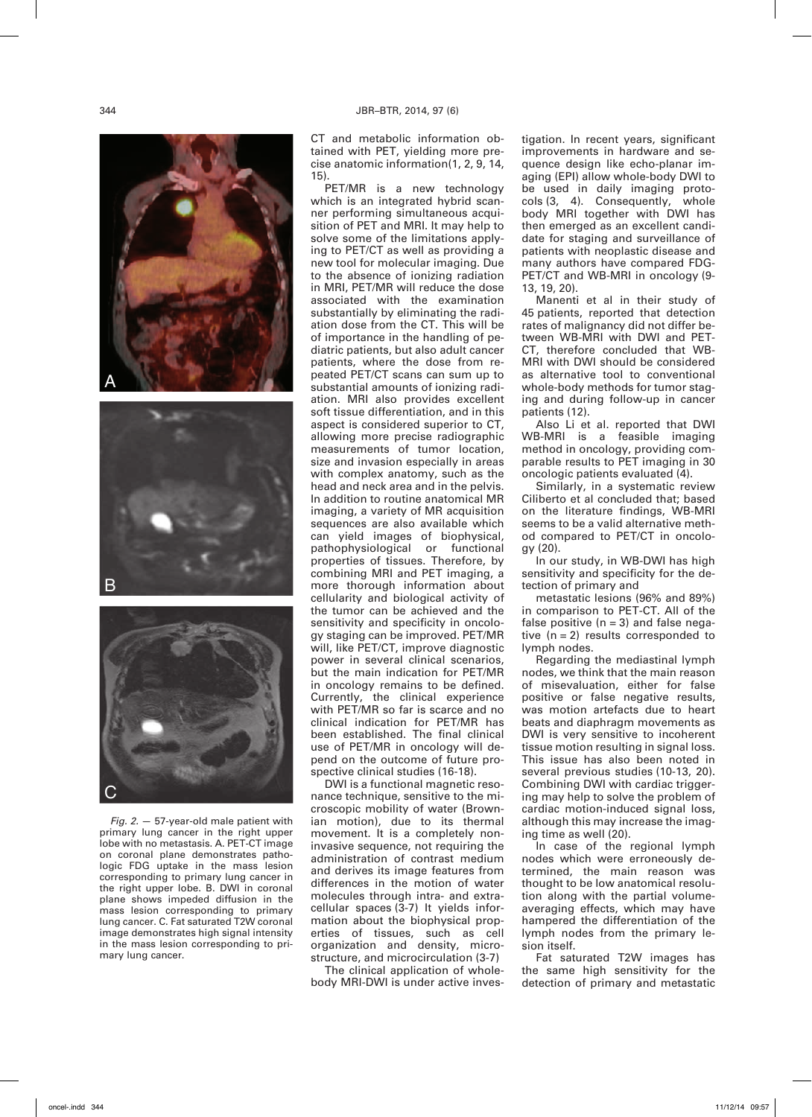





*Fig. 2.* — 57-year-old male patient with primary lung cancer in the right upper lobe with no metastasis. A. PET-CT image on coronal plane demonstrates pathologic FDG uptake in the mass lesion corresponding to primary lung cancer in the right upper lobe. B. DWI in coronal plane shows impeded diffusion in the mass lesion corresponding to primary lung cancer. C. Fat saturated T2W coronal image demonstrates high signal intensity in the mass lesion corresponding to primary lung cancer.

CT and metabolic information obtained with PET, yielding more precise anatomic information(1, 2, 9, 14, 15).

PET/MR is a new technology which is an integrated hybrid scanner performing simultaneous acquisition of PET and MRI. It may help to solve some of the limitations applying to PET/CT as well as providing a new tool for molecular imaging. Due to the absence of ionizing radiation in MRI, PET/MR will reduce the dose associated with the examination substantially by eliminating the radiation dose from the CT. This will be of importance in the handling of pediatric patients, but also adult cancer patients, where the dose from repeated PET/CT scans can sum up to substantial amounts of ionizing radiation. MRI also provides excellent soft tissue differentiation, and in this aspect is considered superior to CT, allowing more precise radiographic measurements of tumor location, size and invasion especially in areas with complex anatomy, such as the head and neck area and in the pelvis. In addition to routine anatomical MR imaging, a variety of MR acquisition sequences are also available which can yield images of biophysical, pathophysiological or functional properties of tissues. Therefore, by combining MRI and PET imaging, a more thorough information about cellularity and biological activity of the tumor can be achieved and the sensitivity and specificity in oncology staging can be improved. PET/MR will, like PET/CT, improve diagnostic power in several clinical scenarios, but the main indication for PET/MR in oncology remains to be defined. Currently, the clinical experience with PET/MR so far is scarce and no clinical indication for PET/MR has been established. The final clinical use of PET/MR in oncology will depend on the outcome of future prospective clinical studies (16-18).

DWI is a functional magnetic resonance technique, sensitive to the microscopic mobility of water (Brownian motion), due to its thermal movement. It is a completely noninvasive sequence, not requiring the administration of contrast medium and derives its image features from differences in the motion of water molecules through intra- and extracellular spaces (3-7) It yields information about the biophysical properties of tissues, such as cell organization and density, microstructure, and microcirculation (3-7)

The clinical application of wholebody MRI-DWI is under active investigation. In recent years, significant improvements in hardware and sequence design like echo-planar imaging (EPI) allow whole-body DWI to be used in daily imaging protocols (3, 4). Consequently, whole body MRI together with DWI has then emerged as an excellent candidate for staging and surveillance of patients with neoplastic disease and many authors have compared FDG-PET/CT and WB-MRI in oncology (9- 13, 19, 20).

Manenti et al in their study of 45 patients, reported that detection rates of malignancy did not differ between WB-MRI with DWI and PET-CT, therefore concluded that WB-MRI with DWI should be considered as alternative tool to conventional whole-body methods for tumor staging and during follow-up in cancer patients (12).

Also Li et al. reported that DWI WB-MRI is a feasible imaging method in oncology, providing comparable results to PET imaging in 30 oncologic patients evaluated (4).

Similarly, in a systematic review Ciliberto et al concluded that; based on the literature findings, WB-MRI seems to be a valid alternative method compared to PET/CT in oncology (20).

In our study, in WB-DWI has high sensitivity and specificity for the detection of primary and

metastatic lesions (96% and 89%) in comparison to PET-CT. All of the false positive  $(n = 3)$  and false negative  $(n = 2)$  results corresponded to lymph nodes.

Regarding the mediastinal lymph nodes, we think that the main reason of misevaluation, either for false positive or false negative results, was motion artefacts due to heart beats and diaphragm movements as DWI is very sensitive to incoherent tissue motion resulting in signal loss. This issue has also been noted in several previous studies (10-13, 20). Combining DWI with cardiac triggering may help to solve the problem of cardiac motion-induced signal loss, although this may increase the imaging time as well (20).

In case of the regional lymph nodes which were erroneously determined, the main reason was thought to be low anatomical resolution along with the partial volumeaveraging effects, which may have hampered the differentiation of the lymph nodes from the primary lesion itself.

Fat saturated T2W images has the same high sensitivity for the detection of primary and metastatic